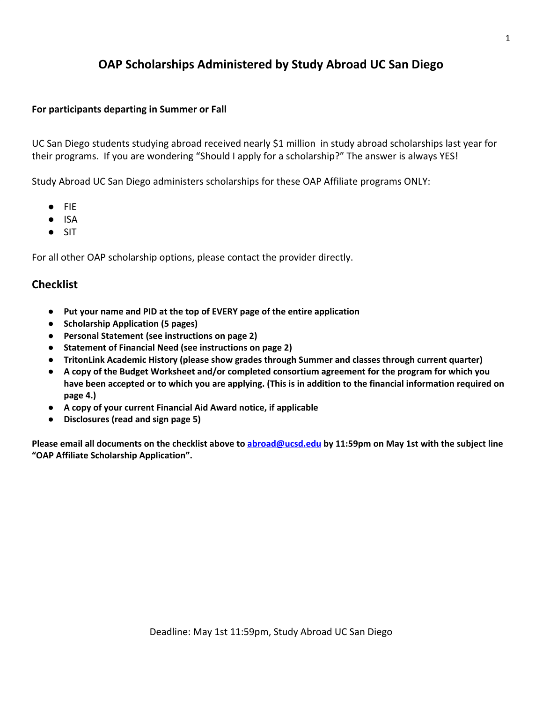# **OAP Scholarships Administered by Study Abroad UC San Diego**

### **For participants departing in Summer or Fall**

UC San Diego students studying abroad received nearly \$1 million in study abroad scholarships last year for their programs. If you are wondering "Should I apply for a scholarship?" The answer is always YES!

Study Abroad UC San Diego administers scholarships for these OAP Affiliate programs ONLY:

- FIE
- ISA
- SIT

For all other OAP scholarship options, please contact the provider directly.

## **Checklist**

- **● Put your name and PID at the top of EVERY page of the entire application**
- **● Scholarship Application (5 pages)**
- **● Personal Statement (see instructions on page 2)**
- **● Statement of Financial Need (see instructions on page 2)**
- **● TritonLink Academic History (please show grades through Summer and classes through current quarter)**
- **● A copy of the Budget Worksheet and/or completed consortium agreement for the program for which you** have been accepted or to which you are applying. (This is in addition to the financial information required on **page 4.)**
- **● A copy of your current Financial Aid Award notice, if applicable**
- **● Disclosures (read and sign page 5)**

Please email all documents on the checklist above to [abroad@ucsd.edu](mailto:abroad@ucsd.edu) by 11:59pm on May 1st with the subject line **"OAP Affiliate Scholarship Application".**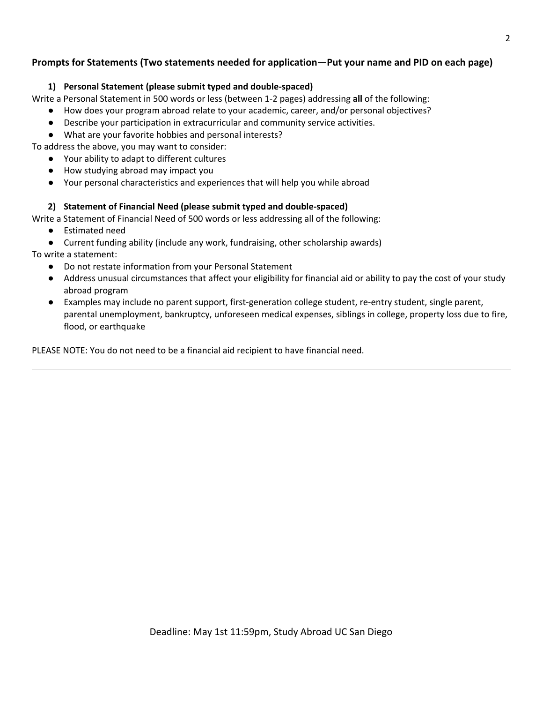## **Prompts for Statements (Two statements needed for application—Put your name and PID on each page)**

### **1) Personal Statement (please submit typed and double-spaced)**

Write a Personal Statement in 500 words or less (between 1-2 pages) addressing **all** of the following:

- How does your program abroad relate to your academic, career, and/or personal objectives?
- Describe your participation in extracurricular and community service activities.
- What are your favorite hobbies and personal interests?

To address the above, you may want to consider:

- Your ability to adapt to different cultures
- How studying abroad may impact you
- Your personal characteristics and experiences that will help you while abroad

### **2) Statement of Financial Need (please submit typed and double-spaced)**

Write a Statement of Financial Need of 500 words or less addressing all of the following:

- Estimated need
- Current funding ability (include any work, fundraising, other scholarship awards)

To write a statement:

- Do not restate information from your Personal Statement
- Address unusual circumstances that affect your eligibility for financial aid or ability to pay the cost of your study abroad program
- Examples may include no parent support, first-generation college student, re-entry student, single parent, parental unemployment, bankruptcy, unforeseen medical expenses, siblings in college, property loss due to fire, flood, or earthquake

PLEASE NOTE: You do not need to be a financial aid recipient to have financial need.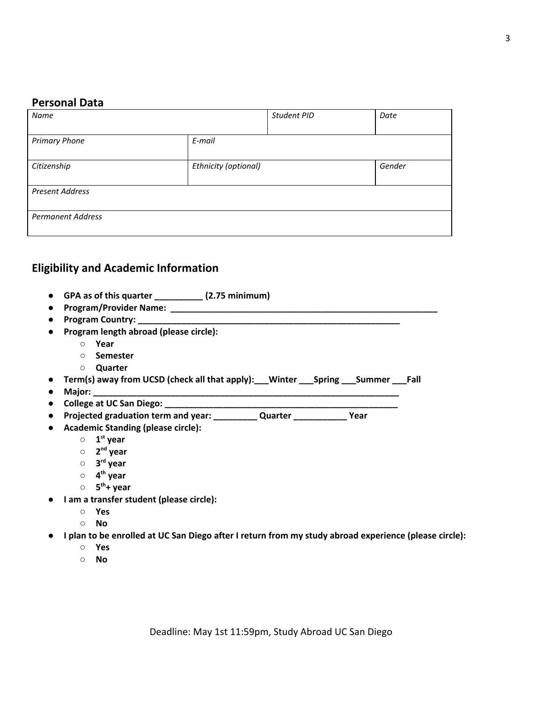## **Personal Data**

| Name                     |                      | Student PID | Date   |
|--------------------------|----------------------|-------------|--------|
| <b>Primary Phone</b>     | E-mail               |             |        |
| Citizenship              | Ethnicity (optional) |             | Gender |
| <b>Present Address</b>   |                      |             |        |
| <b>Permanent Address</b> |                      |             |        |

## **Eligibility and Academic Information**

- **● GPA as of this quarter \_\_\_\_\_\_\_\_\_\_ (2.75 minimum)**
- **● Program/Provider Name: \_\_\_\_\_\_\_\_\_\_\_\_\_\_\_\_\_\_\_\_\_\_\_\_\_\_\_\_\_\_\_\_\_\_\_\_\_\_\_\_\_\_\_\_\_\_\_\_\_\_\_\_\_\_\_**
- **● Program Country: \_\_\_\_\_\_\_\_\_\_\_\_\_\_\_\_\_\_\_\_\_\_\_\_\_\_\_\_\_\_\_\_\_\_\_\_\_\_\_\_\_\_\_\_\_\_\_\_\_\_\_\_\_\_**
- **● Program length abroad (please circle):**
	- **○ Year**
	- **○ Semester**
	- **○ Quarter**
- **● Term(s) away from UCSD (check all that apply):\_\_\_Winter \_\_\_Spring \_\_\_Summer \_\_\_Fall**
- **● Major: \_\_\_\_\_\_\_\_\_\_\_\_\_\_\_\_\_\_\_\_\_\_\_\_\_\_\_\_\_\_\_\_\_\_\_\_\_\_\_\_\_\_\_\_\_\_\_\_\_\_\_\_\_\_\_\_\_\_\_\_\_\_\_**
- **● College at UC San Diego: \_\_\_\_\_\_\_\_\_\_\_\_\_\_\_\_\_\_\_\_\_\_\_\_\_\_\_\_\_\_\_\_\_\_\_\_\_\_\_\_\_\_\_\_\_\_\_\_**
- **● Projected graduation term and year: \_\_\_\_\_\_\_\_\_ Quarter \_\_\_\_\_\_\_\_\_\_\_ Year**
- **● Academic Standing (please circle):**
	- **○ 1 st year**
	- **○ 2 nd year**
	- **○ 3 rd year**
	- **○ 4 th year**
	- **○ 5 th+ year**
- **● I am a transfer student (please circle):**
	- **○ Yes**
	- **○ No**
- I plan to be enrolled at UC San Diego after I return from my study abroad experience (please circle):
	- **○ Yes**
	- **○ No**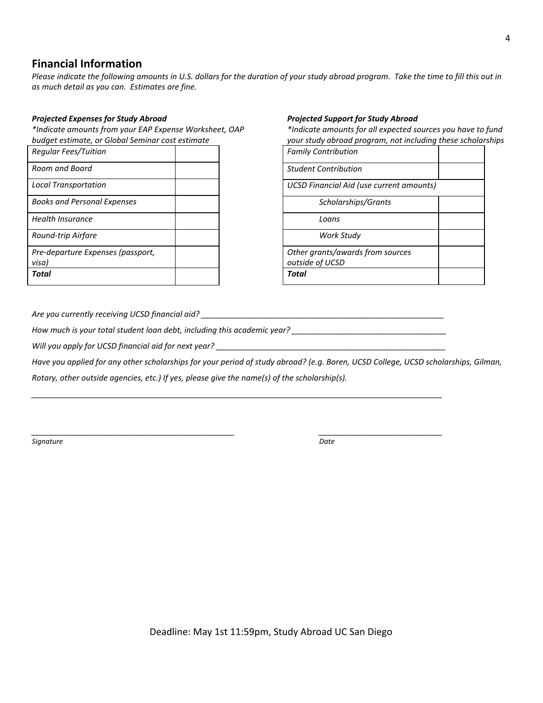## **Financial Information**

Please indicate the following amounts in U.S. dollars for the duration of your study abroad program. Take the time to fill this out in *as much detail as you can. Estimates are fine.*

### *Projected Expenses for Study Abroad*

*\*Indicate amounts from your EAP Expense Worksheet, OAP budget estimate, or Global Seminar cost estimate*

| <b>Regular Fees/Tuition</b>        |  |
|------------------------------------|--|
| Room and Board                     |  |
| <b>Local Transportation</b>        |  |
| <b>Books and Personal Expenses</b> |  |
| <b>Health Insurance</b>            |  |
| Round-trip Airfare                 |  |
| Pre-departure Expenses (passport,  |  |
| visa)                              |  |
| Total                              |  |

#### *Projected Support for Study Abroad*

*\*Indicate amounts for all expected sources you have to fund your study abroad program, not including these scholarships*

| <b>Family Contribution</b>                      |  |  |
|-------------------------------------------------|--|--|
| <b>Student Contribution</b>                     |  |  |
| <b>UCSD Financial Aid (use current amounts)</b> |  |  |
| Scholarships/Grants                             |  |  |
| Loans                                           |  |  |
| Work Study                                      |  |  |
| Other grants/awards from sources                |  |  |
| outside of UCSD                                 |  |  |
| Total                                           |  |  |

*Are you currently receiving UCSD financial aid? \_\_\_\_\_\_\_\_\_\_\_\_\_\_\_\_\_\_\_\_\_\_\_\_\_\_\_\_\_\_\_\_\_\_\_\_\_\_\_\_\_\_\_\_\_\_\_\_\_\_\_\_\_\_\_*

*How much is your total student loan debt, including this academic year? \_\_\_\_\_\_\_\_\_\_\_\_\_\_\_\_\_\_\_\_\_\_\_\_\_\_\_\_\_\_\_\_\_\_\_*

*Will you apply for UCSD financial aid for next year? \_\_\_\_\_\_\_\_\_\_\_\_\_\_\_\_\_\_\_\_\_\_\_\_\_\_\_\_\_\_\_\_\_\_\_\_\_\_\_\_\_\_\_\_\_\_\_\_\_\_\_\_*

Have you applied for any other scholarships for your period of study abroad? (e.g. Boren, UCSD College, UCSD scholarships, Gilman,

*\_\_\_\_\_\_\_\_\_\_\_\_\_\_\_\_\_\_\_\_\_\_\_\_\_\_\_\_\_\_\_\_\_\_\_\_\_\_\_\_\_\_\_\_\_\_\_\_\_\_\_\_\_\_\_\_\_\_\_\_\_\_\_\_\_\_\_\_\_\_\_\_\_\_\_\_\_\_\_\_\_\_\_\_\_\_\_\_\_\_\_\_\_*

*\_\_\_\_\_\_\_\_\_\_\_\_\_\_\_\_\_\_\_\_\_\_\_\_\_\_\_\_\_\_\_\_\_\_\_\_\_\_\_\_\_\_\_\_\_\_ \_\_\_\_\_\_\_\_\_\_\_\_\_\_\_\_\_\_\_\_\_\_\_\_\_\_\_\_*

*Rotary, other outside agencies, etc.) If yes, please give the name(s) of the scholarship(s).*

*Signature Date*